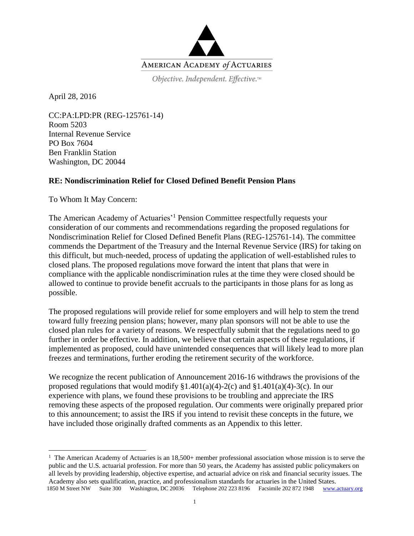

Objective. Independent. Effective.™

April 28, 2016

 $\overline{a}$ 

CC:PA:LPD:PR (REG-125761-14) Room 5203 Internal Revenue Service PO Box 7604 Ben Franklin Station Washington, DC 20044

# **RE: Nondiscrimination Relief for Closed Defined Benefit Pension Plans**

To Whom It May Concern:

The American Academy of Actuaries'<sup>1</sup> Pension Committee respectfully requests your consideration of our comments and recommendations regarding the proposed regulations for Nondiscrimination Relief for Closed Defined Benefit Plans (REG-125761-14). The committee commends the Department of the Treasury and the Internal Revenue Service (IRS) for taking on this difficult, but much-needed, process of updating the application of well-established rules to closed plans. The proposed regulations move forward the intent that plans that were in compliance with the applicable nondiscrimination rules at the time they were closed should be allowed to continue to provide benefit accruals to the participants in those plans for as long as possible.

The proposed regulations will provide relief for some employers and will help to stem the trend toward fully freezing pension plans; however, many plan sponsors will not be able to use the closed plan rules for a variety of reasons. We respectfully submit that the regulations need to go further in order be effective. In addition, we believe that certain aspects of these regulations, if implemented as proposed, could have unintended consequences that will likely lead to more plan freezes and terminations, further eroding the retirement security of the workforce.

We recognize the recent publication of Announcement 2016-16 withdraws the provisions of the proposed regulations that would modify  $\S1.401(a)(4)-2(c)$  and  $\S1.401(a)(4)-3(c)$ . In our experience with plans, we found these provisions to be troubling and appreciate the IRS removing these aspects of the proposed regulation. Our comments were originally prepared prior to this announcement; to assist the IRS if you intend to revisit these concepts in the future, we have included those originally drafted comments as an Appendix to this letter.

 <sup>1850</sup> M Street NW Suite 300 Washington, DC 20036 Telephone 202 223 8196 Facsimile 202 872 1948 [www.actuary.org](http://www.actuary.org/) <sup>1</sup> The American Academy of Actuaries is an 18,500+ member professional association whose mission is to serve the public and the U.S. actuarial profession. For more than 50 years, the Academy has assisted public policymakers on all levels by providing leadership, objective expertise, and actuarial advice on risk and financial security issues. The Academy also sets qualification, practice, and professionalism standards for actuaries in the United States.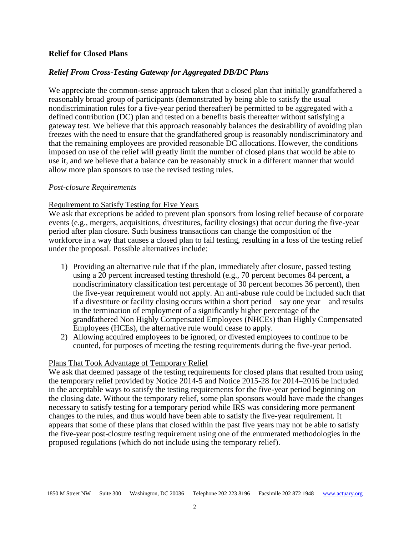### **Relief for Closed Plans**

### *Relief From Cross-Testing Gateway for Aggregated DB/DC Plans*

We appreciate the common-sense approach taken that a closed plan that initially grandfathered a reasonably broad group of participants (demonstrated by being able to satisfy the usual nondiscrimination rules for a five-year period thereafter) be permitted to be aggregated with a defined contribution (DC) plan and tested on a benefits basis thereafter without satisfying a gateway test. We believe that this approach reasonably balances the desirability of avoiding plan freezes with the need to ensure that the grandfathered group is reasonably nondiscriminatory and that the remaining employees are provided reasonable DC allocations. However, the conditions imposed on use of the relief will greatly limit the number of closed plans that would be able to use it, and we believe that a balance can be reasonably struck in a different manner that would allow more plan sponsors to use the revised testing rules.

#### *Post-closure Requirements*

### Requirement to Satisfy Testing for Five Years

We ask that exceptions be added to prevent plan sponsors from losing relief because of corporate events (e.g., mergers, acquisitions, divestitures, facility closings) that occur during the five-year period after plan closure. Such business transactions can change the composition of the workforce in a way that causes a closed plan to fail testing, resulting in a loss of the testing relief under the proposal. Possible alternatives include:

- 1) Providing an alternative rule that if the plan, immediately after closure, passed testing using a 20 percent increased testing threshold (e.g., 70 percent becomes 84 percent, a nondiscriminatory classification test percentage of 30 percent becomes 36 percent), then the five-year requirement would not apply. An anti-abuse rule could be included such that if a divestiture or facility closing occurs within a short period—say one year—and results in the termination of employment of a significantly higher percentage of the grandfathered Non Highly Compensated Employees (NHCEs) than Highly Compensated Employees (HCEs), the alternative rule would cease to apply.
- 2) Allowing acquired employees to be ignored, or divested employees to continue to be counted, for purposes of meeting the testing requirements during the five-year period.

#### Plans That Took Advantage of Temporary Relief

We ask that deemed passage of the testing requirements for closed plans that resulted from using the temporary relief provided by Notice 2014-5 and Notice 2015-28 for 2014–2016 be included in the acceptable ways to satisfy the testing requirements for the five-year period beginning on the closing date. Without the temporary relief, some plan sponsors would have made the changes necessary to satisfy testing for a temporary period while IRS was considering more permanent changes to the rules, and thus would have been able to satisfy the five-year requirement. It appears that some of these plans that closed within the past five years may not be able to satisfy the five-year post-closure testing requirement using one of the enumerated methodologies in the proposed regulations (which do not include using the temporary relief).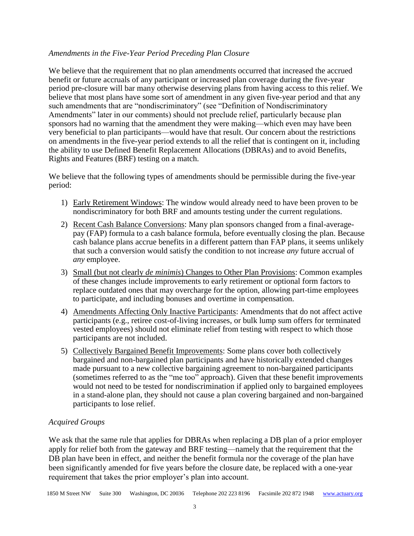## *Amendments in the Five-Year Period Preceding Plan Closure*

We believe that the requirement that no plan amendments occurred that increased the accrued benefit or future accruals of any participant or increased plan coverage during the five-year period pre-closure will bar many otherwise deserving plans from having access to this relief. We believe that most plans have some sort of amendment in any given five-year period and that any such amendments that are "nondiscriminatory" (see "Definition of Nondiscriminatory Amendments" later in our comments) should not preclude relief, particularly because plan sponsors had no warning that the amendment they were making—which even may have been very beneficial to plan participants—would have that result. Our concern about the restrictions on amendments in the five-year period extends to all the relief that is contingent on it, including the ability to use Defined Benefit Replacement Allocations (DBRAs) and to avoid Benefits, Rights and Features (BRF) testing on a match.

We believe that the following types of amendments should be permissible during the five-year period:

- 1) Early Retirement Windows: The window would already need to have been proven to be nondiscriminatory for both BRF and amounts testing under the current regulations.
- 2) Recent Cash Balance Conversions: Many plan sponsors changed from a final-averagepay (FAP) formula to a cash balance formula, before eventually closing the plan. Because cash balance plans accrue benefits in a different pattern than FAP plans, it seems unlikely that such a conversion would satisfy the condition to not increase *any* future accrual of *any* employee.
- 3) Small (but not clearly *de minimis*) Changes to Other Plan Provisions: Common examples of these changes include improvements to early retirement or optional form factors to replace outdated ones that may overcharge for the option, allowing part-time employees to participate, and including bonuses and overtime in compensation.
- 4) Amendments Affecting Only Inactive Participants: Amendments that do not affect active participants (e.g., retiree cost-of-living increases, or bulk lump sum offers for terminated vested employees) should not eliminate relief from testing with respect to which those participants are not included.
- 5) Collectively Bargained Benefit Improvements: Some plans cover both collectively bargained and non-bargained plan participants and have historically extended changes made pursuant to a new collective bargaining agreement to non-bargained participants (sometimes referred to as the "me too" approach). Given that these benefit improvements would not need to be tested for nondiscrimination if applied only to bargained employees in a stand-alone plan, they should not cause a plan covering bargained and non-bargained participants to lose relief.

# *Acquired Groups*

We ask that the same rule that applies for DBRAs when replacing a DB plan of a prior employer apply for relief both from the gateway and BRF testing—namely that the requirement that the DB plan have been in effect, and neither the benefit formula nor the coverage of the plan have been significantly amended for five years before the closure date, be replaced with a one-year requirement that takes the prior employer's plan into account.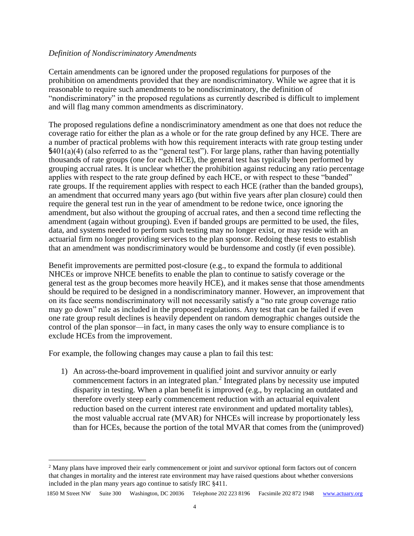### *Definition of Nondiscriminatory Amendments*

Certain amendments can be ignored under the proposed regulations for purposes of the prohibition on amendments provided that they are nondiscriminatory. While we agree that it is reasonable to require such amendments to be nondiscriminatory, the definition of "nondiscriminatory" in the proposed regulations as currently described is difficult to implement and will flag many common amendments as discriminatory.

The proposed regulations define a nondiscriminatory amendment as one that does not reduce the coverage ratio for either the plan as a whole or for the rate group defined by any HCE. There are a number of practical problems with how this requirement interacts with rate group testing under §401(a)(4) (also referred to as the "general test"). For large plans, rather than having potentially thousands of rate groups (one for each HCE), the general test has typically been performed by grouping accrual rates. It is unclear whether the prohibition against reducing any ratio percentage applies with respect to the rate group defined by each HCE, or with respect to these "banded" rate groups. If the requirement applies with respect to each HCE (rather than the banded groups), an amendment that occurred many years ago (but within five years after plan closure) could then require the general test run in the year of amendment to be redone twice, once ignoring the amendment, but also without the grouping of accrual rates, and then a second time reflecting the amendment (again without grouping). Even if banded groups are permitted to be used, the files, data, and systems needed to perform such testing may no longer exist, or may reside with an actuarial firm no longer providing services to the plan sponsor. Redoing these tests to establish that an amendment was nondiscriminatory would be burdensome and costly (if even possible).

Benefit improvements are permitted post-closure (e.g., to expand the formula to additional NHCEs or improve NHCE benefits to enable the plan to continue to satisfy coverage or the general test as the group becomes more heavily HCE), and it makes sense that those amendments should be required to be designed in a nondiscriminatory manner. However, an improvement that on its face seems nondiscriminatory will not necessarily satisfy a "no rate group coverage ratio may go down" rule as included in the proposed regulations. Any test that can be failed if even one rate group result declines is heavily dependent on random demographic changes outside the control of the plan sponsor—in fact, in many cases the only way to ensure compliance is to exclude HCEs from the improvement.

For example, the following changes may cause a plan to fail this test:

 $\overline{a}$ 

1) An across-the-board improvement in qualified joint and survivor annuity or early commencement factors in an integrated plan. 2 Integrated plans by necessity use imputed disparity in testing. When a plan benefit is improved (e.g., by replacing an outdated and therefore overly steep early commencement reduction with an actuarial equivalent reduction based on the current interest rate environment and updated mortality tables), the most valuable accrual rate (MVAR) for NHCEs will increase by proportionately less than for HCEs, because the portion of the total MVAR that comes from the (unimproved)

<sup>&</sup>lt;sup>2</sup> Many plans have improved their early commencement or joint and survivor optional form factors out of concern that changes in mortality and the interest rate environment may have raised questions about whether conversions included in the plan many years ago continue to satisfy IRC §411.

 <sup>1850</sup> M Street NW Suite 300 Washington, DC 20036 Telephone 202 223 8196 Facsimile 202 872 1948 [www.actuary.org](http://www.actuary.org/)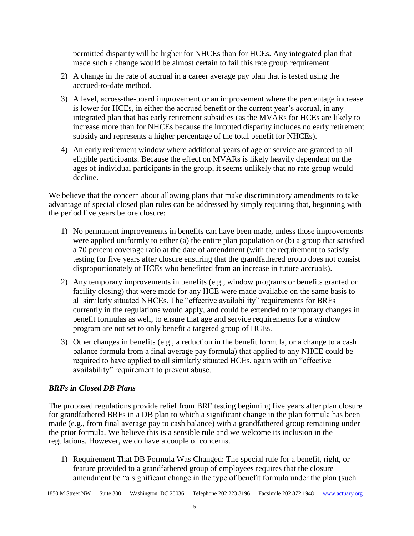permitted disparity will be higher for NHCEs than for HCEs. Any integrated plan that made such a change would be almost certain to fail this rate group requirement.

- 2) A change in the rate of accrual in a career average pay plan that is tested using the accrued-to-date method.
- 3) A level, across-the-board improvement or an improvement where the percentage increase is lower for HCEs, in either the accrued benefit or the current year's accrual, in any integrated plan that has early retirement subsidies (as the MVARs for HCEs are likely to increase more than for NHCEs because the imputed disparity includes no early retirement subsidy and represents a higher percentage of the total benefit for NHCEs).
- 4) An early retirement window where additional years of age or service are granted to all eligible participants. Because the effect on MVARs is likely heavily dependent on the ages of individual participants in the group, it seems unlikely that no rate group would decline.

We believe that the concern about allowing plans that make discriminatory amendments to take advantage of special closed plan rules can be addressed by simply requiring that, beginning with the period five years before closure:

- 1) No permanent improvements in benefits can have been made, unless those improvements were applied uniformly to either (a) the entire plan population or (b) a group that satisfied a 70 percent coverage ratio at the date of amendment (with the requirement to satisfy testing for five years after closure ensuring that the grandfathered group does not consist disproportionately of HCEs who benefitted from an increase in future accruals).
- 2) Any temporary improvements in benefits (e.g., window programs or benefits granted on facility closing) that were made for any HCE were made available on the same basis to all similarly situated NHCEs. The "effective availability" requirements for BRFs currently in the regulations would apply, and could be extended to temporary changes in benefit formulas as well, to ensure that age and service requirements for a window program are not set to only benefit a targeted group of HCEs.
- 3) Other changes in benefits (e.g., a reduction in the benefit formula, or a change to a cash balance formula from a final average pay formula) that applied to any NHCE could be required to have applied to all similarly situated HCEs, again with an "effective availability" requirement to prevent abuse.

# *BRFs in Closed DB Plans*

The proposed regulations provide relief from BRF testing beginning five years after plan closure for grandfathered BRFs in a DB plan to which a significant change in the plan formula has been made (e.g., from final average pay to cash balance) with a grandfathered group remaining under the prior formula. We believe this is a sensible rule and we welcome its inclusion in the regulations. However, we do have a couple of concerns.

1) Requirement That DB Formula Was Changed: The special rule for a benefit, right, or feature provided to a grandfathered group of employees requires that the closure amendment be "a significant change in the type of benefit formula under the plan (such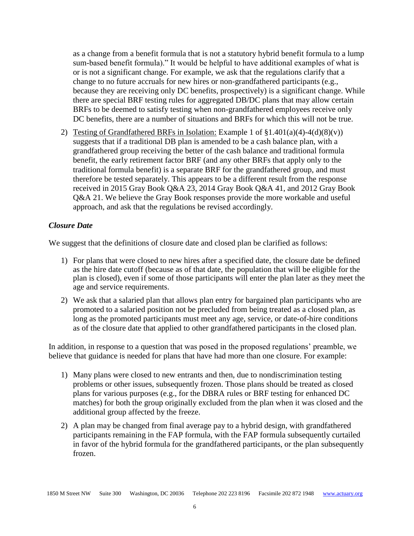as a change from a benefit formula that is not a statutory hybrid benefit formula to a lump sum-based benefit formula)." It would be helpful to have additional examples of what is or is not a significant change. For example, we ask that the regulations clarify that a change to no future accruals for new hires or non-grandfathered participants (e.g., because they are receiving only DC benefits, prospectively) is a significant change. While there are special BRF testing rules for aggregated DB/DC plans that may allow certain BRFs to be deemed to satisfy testing when non-grandfathered employees receive only DC benefits, there are a number of situations and BRFs for which this will not be true.

2) Testing of Grandfathered BRFs in Isolation: Example 1 of  $\S1.401(a)(4)-4(d)(8)(v)$ suggests that if a traditional DB plan is amended to be a cash balance plan, with a grandfathered group receiving the better of the cash balance and traditional formula benefit, the early retirement factor BRF (and any other BRFs that apply only to the traditional formula benefit) is a separate BRF for the grandfathered group, and must therefore be tested separately. This appears to be a different result from the response received in [2015 Gray Book](http://vantage.internal.towerswatson.com/Lists/TW.Vantage.Web-TechnicalRegulatoryList/2015/2015%20Gray%20Book.docx) Q&A 23, [2014 Gray Book](http://vantage.internal.towerswatson.com/Lists/TW.Vantage.Web-TechnicalRegulatoryList/2014/2014%20Gray%20Book%20final.docx) Q&A 41, and [2012 Gray Book](http://advantage.towers.com/lm/advqueryid.asp?id=88694) Q&A 21. We believe the Gray Book responses provide the more workable and useful approach, and ask that the regulations be revised accordingly.

### *Closure Date*

We suggest that the definitions of closure date and closed plan be clarified as follows:

- 1) For plans that were closed to new hires after a specified date, the closure date be defined as the hire date cutoff (because as of that date, the population that will be eligible for the plan is closed), even if some of those participants will enter the plan later as they meet the age and service requirements.
- 2) We ask that a salaried plan that allows plan entry for bargained plan participants who are promoted to a salaried position not be precluded from being treated as a closed plan, as long as the promoted participants must meet any age, service, or date-of-hire conditions as of the closure date that applied to other grandfathered participants in the closed plan.

In addition, in response to a question that was posed in the proposed regulations' preamble, we believe that guidance is needed for plans that have had more than one closure. For example:

- 1) Many plans were closed to new entrants and then, due to nondiscrimination testing problems or other issues, subsequently frozen. Those plans should be treated as closed plans for various purposes (e.g., for the DBRA rules or BRF testing for enhanced DC matches) for both the group originally excluded from the plan when it was closed and the additional group affected by the freeze.
- 2) A plan may be changed from final average pay to a hybrid design, with grandfathered participants remaining in the FAP formula, with the FAP formula subsequently curtailed in favor of the hybrid formula for the grandfathered participants, or the plan subsequently frozen.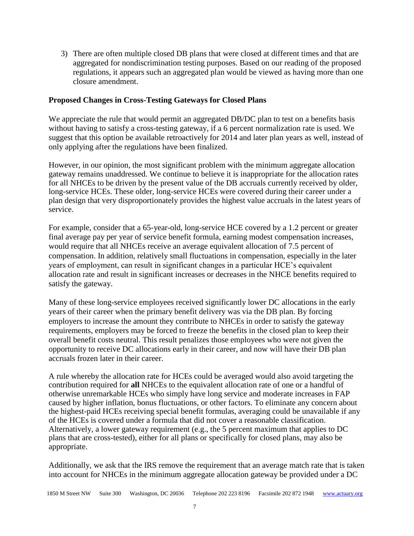3) There are often multiple closed DB plans that were closed at different times and that are aggregated for nondiscrimination testing purposes. Based on our reading of the proposed regulations, it appears such an aggregated plan would be viewed as having more than one closure amendment.

## **Proposed Changes in Cross-Testing Gateways for Closed Plans**

We appreciate the rule that would permit an aggregated DB/DC plan to test on a benefits basis without having to satisfy a cross-testing gateway, if a 6 percent normalization rate is used. We suggest that this option be available retroactively for 2014 and later plan years as well, instead of only applying after the regulations have been finalized.

However, in our opinion, the most significant problem with the minimum aggregate allocation gateway remains unaddressed. We continue to believe it is inappropriate for the allocation rates for all NHCEs to be driven by the present value of the DB accruals currently received by older, long-service HCEs. These older, long-service HCEs were covered during their career under a plan design that very disproportionately provides the highest value accruals in the latest years of service.

For example, consider that a 65-year-old, long-service HCE covered by a 1.2 percent or greater final average pay per year of service benefit formula, earning modest compensation increases, would require that all NHCEs receive an average equivalent allocation of 7.5 percent of compensation. In addition, relatively small fluctuations in compensation, especially in the later years of employment, can result in significant changes in a particular HCE's equivalent allocation rate and result in significant increases or decreases in the NHCE benefits required to satisfy the gateway.

Many of these long-service employees received significantly lower DC allocations in the early years of their career when the primary benefit delivery was via the DB plan. By forcing employers to increase the amount they contribute to NHCEs in order to satisfy the gateway requirements, employers may be forced to freeze the benefits in the closed plan to keep their overall benefit costs neutral. This result penalizes those employees who were not given the opportunity to receive DC allocations early in their career, and now will have their DB plan accruals frozen later in their career.

A rule whereby the allocation rate for HCEs could be averaged would also avoid targeting the contribution required for **all** NHCEs to the equivalent allocation rate of one or a handful of otherwise unremarkable HCEs who simply have long service and moderate increases in FAP caused by higher inflation, bonus fluctuations, or other factors. To eliminate any concern about the highest-paid HCEs receiving special benefit formulas, averaging could be unavailable if any of the HCEs is covered under a formula that did not cover a reasonable classification. Alternatively, a lower gateway requirement (e.g., the 5 percent maximum that applies to DC plans that are cross-tested), either for all plans or specifically for closed plans, may also be appropriate.

Additionally, we ask that the IRS remove the requirement that an average match rate that is taken into account for NHCEs in the minimum aggregate allocation gateway be provided under a DC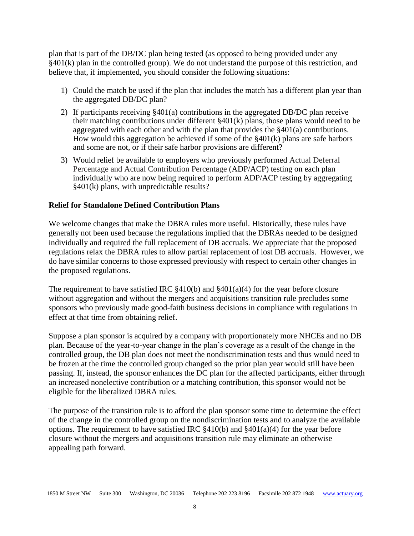plan that is part of the DB/DC plan being tested (as opposed to being provided under any §401(k) plan in the controlled group). We do not understand the purpose of this restriction, and believe that, if implemented, you should consider the following situations:

- 1) Could the match be used if the plan that includes the match has a different plan year than the aggregated DB/DC plan?
- 2) If participants receiving §401(a) contributions in the aggregated DB/DC plan receive their matching contributions under different §401(k) plans, those plans would need to be aggregated with each other and with the plan that provides the §401(a) contributions. How would this aggregation be achieved if some of the §401(k) plans are safe harbors and some are not, or if their safe harbor provisions are different?
- 3) Would relief be available to employers who previously performed Actual Deferral Percentage and Actual Contribution Percentage (ADP/ACP) testing on each plan individually who are now being required to perform ADP/ACP testing by aggregating §401(k) plans, with unpredictable results?

### **Relief for Standalone Defined Contribution Plans**

We welcome changes that make the DBRA rules more useful. Historically, these rules have generally not been used because the regulations implied that the DBRAs needed to be designed individually and required the full replacement of DB accruals. We appreciate that the proposed regulations relax the DBRA rules to allow partial replacement of lost DB accruals. However, we do have similar concerns to those expressed previously with respect to certain other changes in the proposed regulations.

The requirement to have satisfied IRC  $$410(b)$  and  $$401(a)(4)$  for the year before closure without aggregation and without the mergers and acquisitions transition rule precludes some sponsors who previously made good-faith business decisions in compliance with regulations in effect at that time from obtaining relief.

Suppose a plan sponsor is acquired by a company with proportionately more NHCEs and no DB plan. Because of the year-to-year change in the plan's coverage as a result of the change in the controlled group, the DB plan does not meet the nondiscrimination tests and thus would need to be frozen at the time the controlled group changed so the prior plan year would still have been passing. If, instead, the sponsor enhances the DC plan for the affected participants, either through an increased nonelective contribution or a matching contribution, this sponsor would not be eligible for the liberalized DBRA rules.

The purpose of the transition rule is to afford the plan sponsor some time to determine the effect of the change in the controlled group on the nondiscrimination tests and to analyze the available options. The requirement to have satisfied IRC  $\S410(b)$  and  $\S401(a)(4)$  for the year before closure without the mergers and acquisitions transition rule may eliminate an otherwise appealing path forward.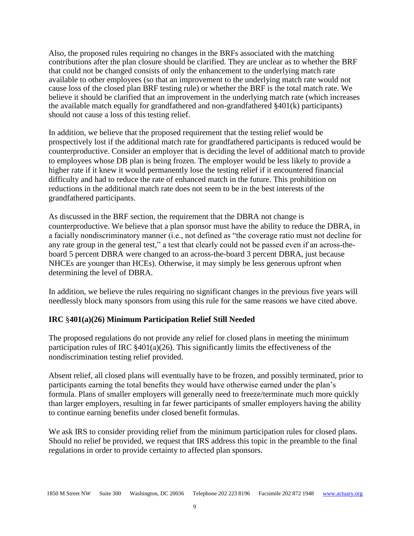Also, the proposed rules requiring no changes in the BRFs associated with the matching contributions after the plan closure should be clarified. They are unclear as to whether the BRF that could not be changed consists of only the enhancement to the underlying match rate available to other employees (so that an improvement to the underlying match rate would not cause loss of the closed plan BRF testing rule) or whether the BRF is the total match rate. We believe it should be clarified that an improvement in the underlying match rate (which increases the available match equally for grandfathered and non-grandfathered §401(k) participants) should not cause a loss of this testing relief.

In addition, we believe that the proposed requirement that the testing relief would be prospectively lost if the additional match rate for grandfathered participants is reduced would be counterproductive. Consider an employer that is deciding the level of additional match to provide to employees whose DB plan is being frozen. The employer would be less likely to provide a higher rate if it knew it would permanently lose the testing relief if it encountered financial difficulty and had to reduce the rate of enhanced match in the future. This prohibition on reductions in the additional match rate does not seem to be in the best interests of the grandfathered participants.

As discussed in the BRF section, the requirement that the DBRA not change is counterproductive. We believe that a plan sponsor must have the ability to reduce the DBRA, in a facially nondiscriminatory manner (i.e., not defined as "the coverage ratio must not decline for any rate group in the general test," a test that clearly could not be passed even if an across-theboard 5 percent DBRA were changed to an across-the-board 3 percent DBRA, just because NHCEs are younger than HCEs). Otherwise, it may simply be less generous upfront when determining the level of DBRA.

In addition, we believe the rules requiring no significant changes in the previous five years will needlessly block many sponsors from using this rule for the same reasons we have cited above.

# **IRC** §**401(a)(26) Minimum Participation Relief Still Needed**

The proposed regulations do not provide any relief for closed plans in meeting the minimum participation rules of IRC  $\S 401(a)(26)$ . This significantly limits the effectiveness of the nondiscrimination testing relief provided.

Absent relief, all closed plans will eventually have to be frozen, and possibly terminated, prior to participants earning the total benefits they would have otherwise earned under the plan's formula. Plans of smaller employers will generally need to freeze/terminate much more quickly than larger employers, resulting in far fewer participants of smaller employers having the ability to continue earning benefits under closed benefit formulas.

We ask IRS to consider providing relief from the minimum participation rules for closed plans. Should no relief be provided, we request that IRS address this topic in the preamble to the final regulations in order to provide certainty to affected plan sponsors.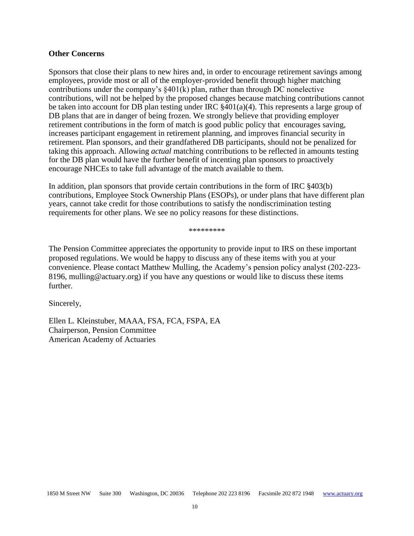#### **Other Concerns**

Sponsors that close their plans to new hires and, in order to encourage retirement savings among employees, provide most or all of the employer-provided benefit through higher matching contributions under the company's §401(k) plan, rather than through DC nonelective contributions, will not be helped by the proposed changes because matching contributions cannot be taken into account for DB plan testing under IRC §401(a)(4). This represents a large group of DB plans that are in danger of being frozen. We strongly believe that providing employer retirement contributions in the form of match is good public policy that encourages saving, increases participant engagement in retirement planning, and improves financial security in retirement. Plan sponsors, and their grandfathered DB participants, should not be penalized for taking this approach. Allowing *actual* matching contributions to be reflected in amounts testing for the DB plan would have the further benefit of incenting plan sponsors to proactively encourage NHCEs to take full advantage of the match available to them.

In addition, plan sponsors that provide certain contributions in the form of IRC §403(b) contributions, Employee Stock Ownership Plans (ESOPs), or under plans that have different plan years, cannot take credit for those contributions to satisfy the nondiscrimination testing requirements for other plans. We see no policy reasons for these distinctions.

\*\*\*\*\*\*\*\*\*

The Pension Committee appreciates the opportunity to provide input to IRS on these important proposed regulations. We would be happy to discuss any of these items with you at your convenience. Please contact Matthew Mulling, the Academy's pension policy analyst (202-223- 8196, mulling@actuary.org) if you have any questions or would like to discuss these items further.

Sincerely,

Ellen L. Kleinstuber, MAAA, FSA, FCA, FSPA, EA Chairperson, Pension Committee American Academy of Actuaries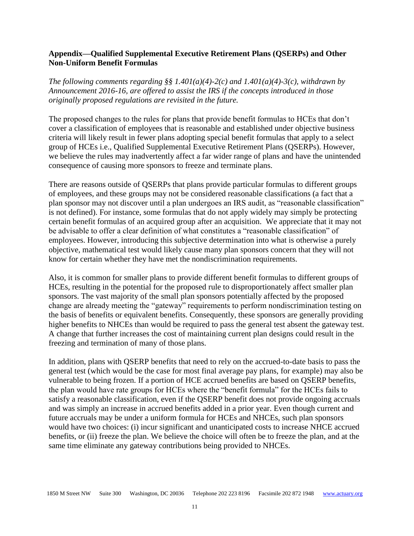## **Appendix—Qualified Supplemental Executive Retirement Plans (QSERPs) and Other Non-Uniform Benefit Formulas**

*The following comments regarding §§ 1.401(a)(4)-2(c) and 1.401(a)(4)-3(c), withdrawn by Announcement 2016-16, are offered to assist the IRS if the concepts introduced in those originally proposed regulations are revisited in the future.*

The proposed changes to the rules for plans that provide benefit formulas to HCEs that don't cover a classification of employees that is reasonable and established under objective business criteria will likely result in fewer plans adopting special benefit formulas that apply to a select group of HCEs i.e., Qualified Supplemental Executive Retirement Plans (QSERPs). However, we believe the rules may inadvertently affect a far wider range of plans and have the unintended consequence of causing more sponsors to freeze and terminate plans.

There are reasons outside of QSERPs that plans provide particular formulas to different groups of employees, and these groups may not be considered reasonable classifications (a fact that a plan sponsor may not discover until a plan undergoes an IRS audit, as "reasonable classification" is not defined). For instance, some formulas that do not apply widely may simply be protecting certain benefit formulas of an acquired group after an acquisition. We appreciate that it may not be advisable to offer a clear definition of what constitutes a "reasonable classification" of employees. However, introducing this subjective determination into what is otherwise a purely objective, mathematical test would likely cause many plan sponsors concern that they will not know for certain whether they have met the nondiscrimination requirements.

Also, it is common for smaller plans to provide different benefit formulas to different groups of HCEs, resulting in the potential for the proposed rule to disproportionately affect smaller plan sponsors. The vast majority of the small plan sponsors potentially affected by the proposed change are already meeting the "gateway" requirements to perform nondiscrimination testing on the basis of benefits or equivalent benefits. Consequently, these sponsors are generally providing higher benefits to NHCEs than would be required to pass the general test absent the gateway test. A change that further increases the cost of maintaining current plan designs could result in the freezing and termination of many of those plans.

In addition, plans with QSERP benefits that need to rely on the accrued-to-date basis to pass the general test (which would be the case for most final average pay plans, for example) may also be vulnerable to being frozen. If a portion of HCE accrued benefits are based on QSERP benefits, the plan would have rate groups for HCEs where the "benefit formula" for the HCEs fails to satisfy a reasonable classification, even if the QSERP benefit does not provide ongoing accruals and was simply an increase in accrued benefits added in a prior year. Even though current and future accruals may be under a uniform formula for HCEs and NHCEs, such plan sponsors would have two choices: (i) incur significant and unanticipated costs to increase NHCE accrued benefits, or (ii) freeze the plan. We believe the choice will often be to freeze the plan, and at the same time eliminate any gateway contributions being provided to NHCEs.